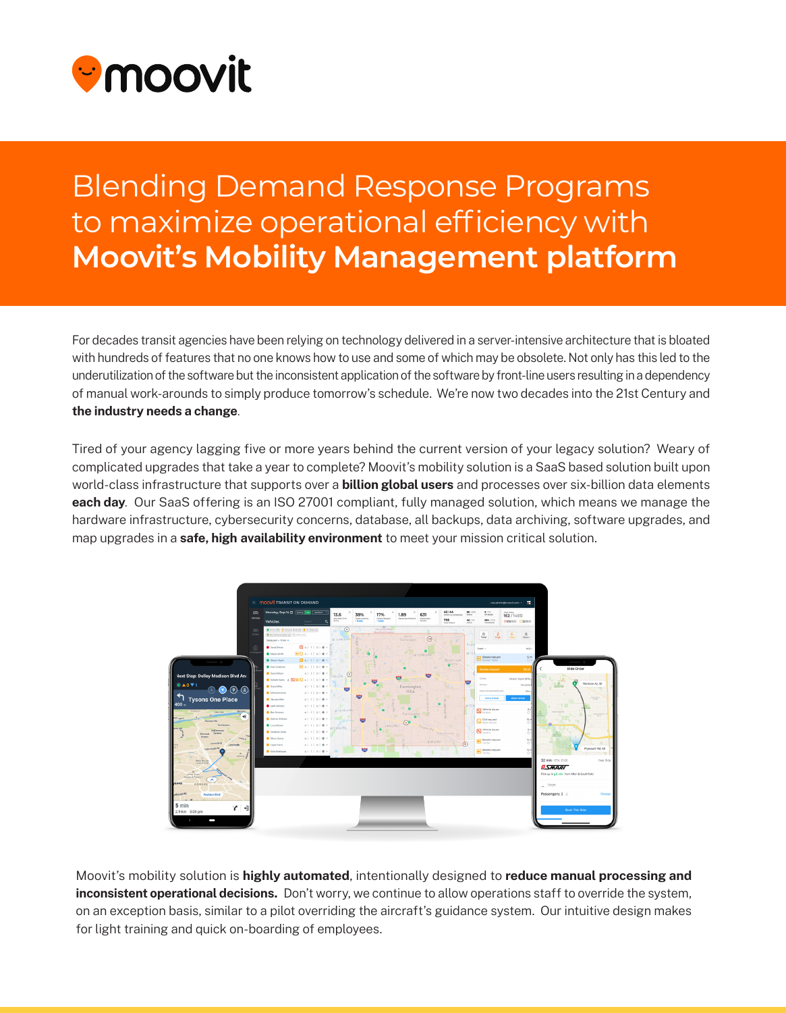

## **Blending Demand Response Programs** to maximize operational efficiency with **Moovit's Mobility Management platform**

For decades transit agencies have been relying on technology delivered in a server-intensive architecture that is bloated with hundreds of features that no one knows how to use and some of which may be obsolete. Not only has this led to the underutilization of the software but the inconsistent application of the software by front-line users resulting in a dependency of manual work-arounds to simply produce tomorrow's schedule. We're now two decades into the 21st Century and the industry needs a change.

Tired of your agency lagging five or more years behind the current version of your legacy solution? Weary of complicated upgrades that take a year to complete? Moovit's mobility solution is a SaaS based solution built upon world-class infrastructure that supports over a **billion global users** and processes over six-billion data elements each day. Our SaaS offering is an ISO 27001 compliant, fully managed solution, which means we manage the hardware infrastructure, cybersecurity concerns, database, all backups, data archiving, software upgrades, and map upgrades in a safe, high availability environment to meet your mission critical solution.



Moovit's mobility solution is highly automated, intentionally designed to reduce manual processing and inconsistent operational decisions. Don't worry, we continue to allow operations staff to override the system, on an exception basis, similar to a pilot overriding the aircraft's guidance system. Our intuitive design makes for light training and quick on-boarding of employees.